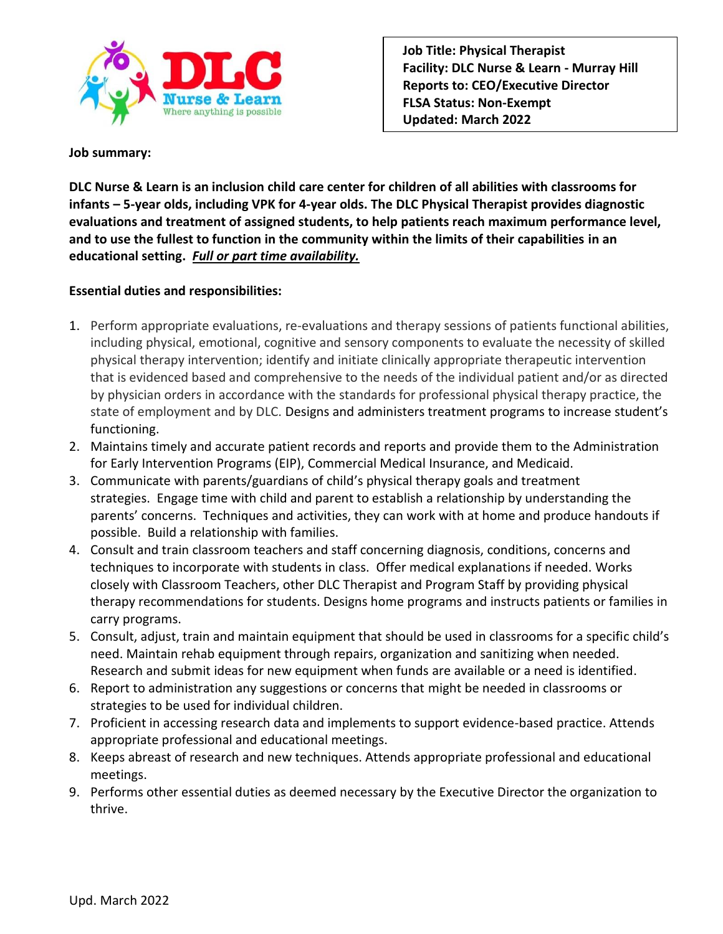

### **Job summary:**

**DLC Nurse & Learn is an inclusion child care center for children of all abilities with classrooms for infants – 5-year olds, including VPK for 4-year olds. The DLC Physical Therapist provides diagnostic evaluations and treatment of assigned students, to help patients reach maximum performance level, and to use the fullest to function in the community within the limits of their capabilities in an educational setting.** *Full or part time availability.*

## **Essential duties and responsibilities:**

- 1. Perform appropriate evaluations, re-evaluations and therapy sessions of patients functional abilities, including physical, emotional, cognitive and sensory components to evaluate the necessity of skilled physical therapy intervention; identify and initiate clinically appropriate therapeutic intervention that is evidenced based and comprehensive to the needs of the individual patient and/or as directed by physician orders in accordance with the standards for professional physical therapy practice, the state of employment and by DLC. Designs and administers treatment programs to increase student's functioning.
- 2. Maintains timely and accurate patient records and reports and provide them to the Administration for Early Intervention Programs (EIP), Commercial Medical Insurance, and Medicaid.
- 3. Communicate with parents/guardians of child's physical therapy goals and treatment strategies. Engage time with child and parent to establish a relationship by understanding the parents' concerns. Techniques and activities, they can work with at home and produce handouts if possible. Build a relationship with families.
- 4. Consult and train classroom teachers and staff concerning diagnosis, conditions, concerns and techniques to incorporate with students in class. Offer medical explanations if needed. Works closely with Classroom Teachers, other DLC Therapist and Program Staff by providing physical therapy recommendations for students. Designs home programs and instructs patients or families in carry programs.
- 5. Consult, adjust, train and maintain equipment that should be used in classrooms for a specific child's need. Maintain rehab equipment through repairs, organization and sanitizing when needed. Research and submit ideas for new equipment when funds are available or a need is identified.
- 6. Report to administration any suggestions or concerns that might be needed in classrooms or strategies to be used for individual children.
- 7. Proficient in accessing research data and implements to support evidence-based practice. Attends appropriate professional and educational meetings.
- 8. Keeps abreast of research and new techniques. Attends appropriate professional and educational meetings.
- 9. Performs other essential duties as deemed necessary by the Executive Director the organization to thrive.